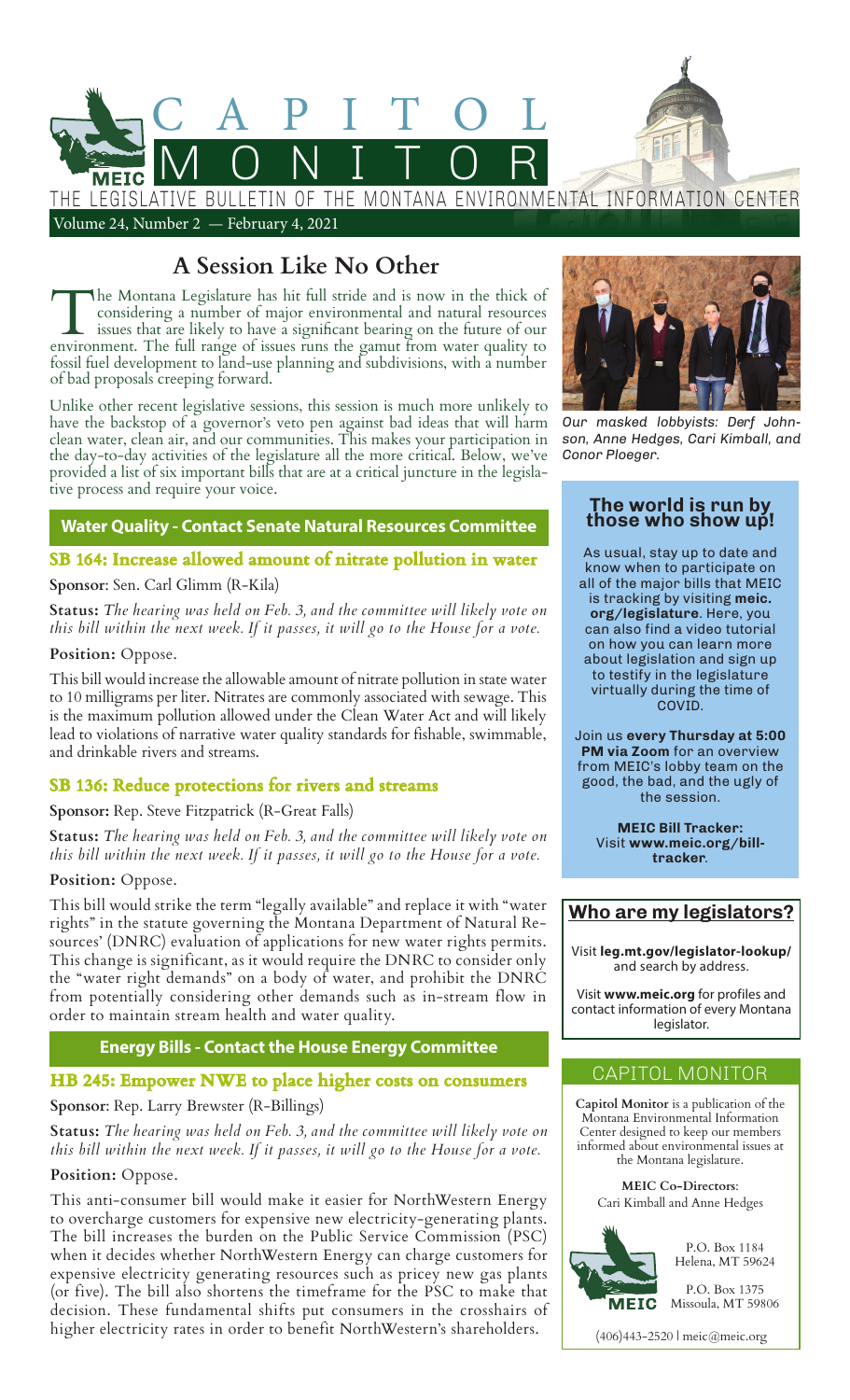

## **A Session Like No Other**

The Montana Legislature has hit full stride and is now in the thick of considering a number of major environmental and natural resources issues that are likely to have a significant bearing on the future of our environment. The full range of issues runs the gamut from water quality to fossil fuel development to land-use planning and subdivisions, with a number of bad proposals creeping forward.

Unlike other recent legislative sessions, this session is much more unlikely to have the backstop of a governor's veto pen against bad ideas that will harm clean water, clean air, and our communities. This makes your participation in the day-to-day activities of the legislature all the more critical. Below, we've provided a list of six important bills that are at a critical juncture in the legislative process and require your voice.

## **Water Quality - Contact Senate Natural Resources Committee**

## **SB 164: Increase allowed amount of nitrate pollution in water**

## **Sponsor**: Sen. Carl Glimm (R-Kila)

**Status:** *The hearing was held on Feb. 3, and the committee will likely vote on this bill within the next week. If it passes, it will go to the House for a vote.*

## **Position:** Oppose.

This bill would increase the allowable amount of nitrate pollution in state water to 10 milligrams per liter. Nitrates are commonly associated with sewage. This is the maximum pollution allowed under the Clean Water Act and will likely lead to violations of narrative water quality standards for fishable, swimmable, and drinkable rivers and streams.

## **SB 136: Reduce protections for rivers and streams**

## **Sponsor:** Rep. Steve Fitzpatrick (R-Great Falls)

**Status:** *The hearing was held on Feb. 3, and the committee will likely vote on this bill within the next week. If it passes, it will go to the House for a vote.*

## **Position:** Oppose.

This bill would strike the term "legally available" and replace it with "water rights" in the statute governing the Montana Department of Natural Resources' (DNRC) evaluation of applications for new water rights permits. This change is significant, as it would require the DNRC to consider only the "water right demands" on a body of water, and prohibit the DNRC from potentially considering other demands such as in-stream flow in order to maintain stream health and water quality.

## **Energy Bills - Contact the House Energy Committee**

## **HB 245: Empower NWE to place higher costs on consumers**

## **Sponsor**: Rep. Larry Brewster (R-Billings)

**Status:** *The hearing was held on Feb. 3, and the committee will likely vote on this bill within the next week. If it passes, it will go to the House for a vote.*

## **Position:** Oppose.

This anti-consumer bill would make it easier for NorthWestern Energy to overcharge customers for expensive new electricity-generating plants. The bill increases the burden on the Public Service Commission (PSC) when it decides whether NorthWestern Energy can charge customers for expensive electricity generating resources such as pricey new gas plants (or five). The bill also shortens the timeframe for the PSC to make that decision. These fundamental shifts put consumers in the crosshairs of higher electricity rates in order to benefit NorthWestern's shareholders.



*Our masked lobbyists: Derf Johnson, Anne Hedges, Cari Kimball, and Conor Ploeger.*

#### **The world is run by those who show up!**

As usual, stay up to date and know when to participate on all of the major bills that MEIC is tracking by visiting **meic. org/legislature**. Here, you can also find a video tutorial on how you can learn more about legislation and sign up to testify in the legislature virtually during the time of COVID.

Join us **every Thursday at 5:00 PM via Zoom** for an overview from MEIC's lobby team on the good, the bad, and the ugly of the session.

> **MEIC Bill Tracker:** Visit **www.meic.org/billtracker**.

## **Who are my legislators?**

Visit **leg.mt.gov/legislator-lookup/** and search by address.

Visit **www.meic.org** for profiles and contact information of every Montana legislator.

## CAPITOL MONITOR

**Capitol Monitor** is a publication of the Montana Environmental Information Center designed to keep our members informed about environmental issues at the Montana legislature.

> **MEIC Co-Directors**: Cari Kimball and Anne Hedges



P.O. Box 1184 Helena, MT 59624

P.O. Box 1375 Missoula, MT 59806

(406)443-2520 | meic@meic.org